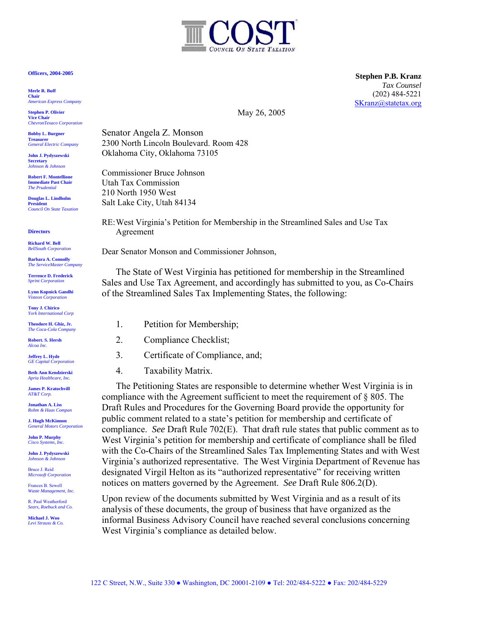## **Officers, 2004-2005**

**Merle R. Buff** **Chair**  *American Express Company* 

**Stephen P. Olivier Vice Chair**  *ChevronTexaco Corporation* 

**Bobby L. Burgner** **Treasurer**  *General Electric Company* 

**John J. Pydyszewski Secretary** *Johnson & Johnson*

**Robert F. Montellione** **Immediate Past Chair**  *The Prudential* 

**Douglas L. Lindholm President**  *Council On State Taxation* 

**Directors** 

**Richard W. Bell**  *BellSouth Corporation* 

**Barbara A. Connolly**  *The ServiceMaster Company* 

**Terrence D. Frederick** *Sprint Corporation*

**Lynn Kopnick Gandhi**  *Visteon Corporation*

**Tony J. Chirico**  *York International Corp*

**Theodore H. Ghiz, Jr.**  *The Coca-Cola Company* 

**Robert. S. Hersh** *Alcoa Inc*.

**Jeffrey L. Hyde**  *GE Capital Corporation*

**Beth Ann Kendzierski**  *Apria Healthcare, Inc.* 

**James P. Kratochvill**  *AT&T Corp.*

**Jonathan A. Liss**  *Rohm & Haas Compan* 

**J. Hugh McKinnon** *General Motors Corporation*

**John P. Murphy**  *Cisco Systems, Inc.*

**John J. Pydyszewski**  *Johnson & Johnson*

 Bruce J. Reid *Microsoft Corporation* 

Frances B. Sewell *Waste Management, Inc.*

*Sears, Roebuck and Co.* R. Paul Weatherford

**Michael J. Woo**  *Levi Strauss & Co.* 

**Stephen P.B. Kranz** *Tax Counsel*  (202) 484-5221 [SKranz@statetax.org](mailto:SKranz@statetax.org) 

May 26, 2005

Senator Angela Z. Monson 2300 North Lincoln Boulevard. Room 428 Oklahoma City, Oklahoma 73105

Commissioner Bruce Johnson Utah Tax Commission 210 North 1950 West Salt Lake City, Utah 84134

RE: West Virginia's Petition for Membership in the Streamlined Sales and Use Tax Agreement

Dear Senator Monson and Commissioner Johnson,

The State of West Virginia has petitioned for membership in the Streamlined Sales and Use Tax Agreement, and accordingly has submitted to you, as Co-Chairs of the Streamlined Sales Tax Implementing States, the following:

- 1. Petition for Membership;
- 2. Compliance Checklist;
- 3. Certificate of Compliance, and;
- 4. Taxability Matrix.

The Petitioning States are responsible to determine whether West Virginia is in compliance with the Agreement sufficient to meet the requirement of § 805. The Draft Rules and Procedures for the Governing Board provide the opportunity for public comment related to a state's petition for membership and certificate of compliance. *See* Draft Rule 702(E). That draft rule states that public comment as to West Virginia's petition for membership and certificate of compliance shall be filed with the Co-Chairs of the Streamlined Sales Tax Implementing States and with West Virginia's authorized representative. The West Virginia Department of Revenue has designated Virgil Helton as its "authorized representative" for receiving written notices on matters governed by the Agreement. *See* Draft Rule 806.2(D).

Upon review of the documents submitted by West Virginia and as a result of its analysis of these documents, the group of business that have organized as the informal Business Advisory Council have reached several conclusions concerning West Virginia's compliance as detailed below.